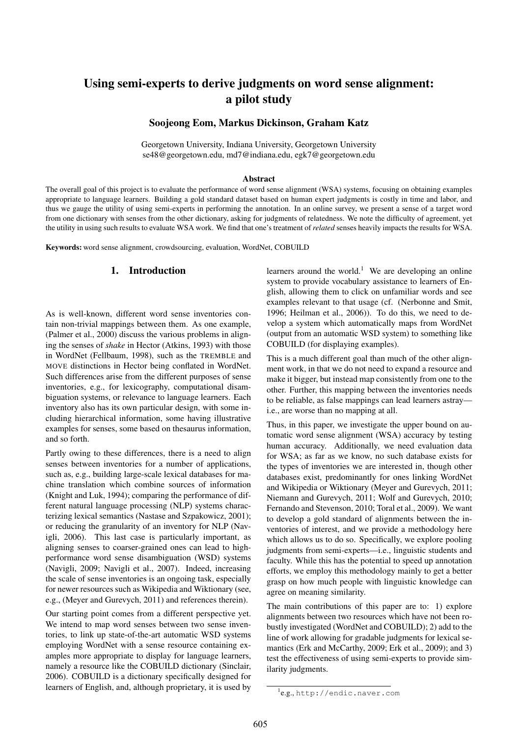# Using semi-experts to derive judgments on word sense alignment: a pilot study

Soojeong Eom, Markus Dickinson, Graham Katz

Georgetown University, Indiana University, Georgetown University se48@georgetown.edu, md7@indiana.edu, egk7@georgetown.edu

### Abstract

The overall goal of this project is to evaluate the performance of word sense alignment (WSA) systems, focusing on obtaining examples appropriate to language learners. Building a gold standard dataset based on human expert judgments is costly in time and labor, and thus we gauge the utility of using semi-experts in performing the annotation. In an online survey, we present a sense of a target word from one dictionary with senses from the other dictionary, asking for judgments of relatedness. We note the difficulty of agreement, yet the utility in using such results to evaluate WSA work. We find that one's treatment of *related* senses heavily impacts the results for WSA.

Keywords: word sense alignment, crowdsourcing, evaluation, WordNet, COBUILD

# 1. Introduction

As is well-known, different word sense inventories contain non-trivial mappings between them. As one example, (Palmer et al., 2000) discuss the various problems in aligning the senses of *shake* in Hector (Atkins, 1993) with those in WordNet (Fellbaum, 1998), such as the TREMBLE and MOVE distinctions in Hector being conflated in WordNet. Such differences arise from the different purposes of sense inventories, e.g., for lexicography, computational disambiguation systems, or relevance to language learners. Each inventory also has its own particular design, with some including hierarchical information, some having illustrative examples for senses, some based on thesaurus information, and so forth.

Partly owing to these differences, there is a need to align senses between inventories for a number of applications, such as, e.g., building large-scale lexical databases for machine translation which combine sources of information (Knight and Luk, 1994); comparing the performance of different natural language processing (NLP) systems characterizing lexical semantics (Nastase and Szpakowicz, 2001); or reducing the granularity of an inventory for NLP (Navigli, 2006). This last case is particularly important, as aligning senses to coarser-grained ones can lead to highperformance word sense disambiguation (WSD) systems (Navigli, 2009; Navigli et al., 2007). Indeed, increasing the scale of sense inventories is an ongoing task, especially for newer resources such as Wikipedia and Wiktionary (see, e.g., (Meyer and Gurevych, 2011) and references therein).

Our starting point comes from a different perspective yet. We intend to map word senses between two sense inventories, to link up state-of-the-art automatic WSD systems employing WordNet with a sense resource containing examples more appropriate to display for language learners, namely a resource like the COBUILD dictionary (Sinclair, 2006). COBUILD is a dictionary specifically designed for learners of English, and, although proprietary, it is used by

learners around the world.<sup>1</sup> We are developing an online system to provide vocabulary assistance to learners of English, allowing them to click on unfamiliar words and see examples relevant to that usage (cf. (Nerbonne and Smit, 1996; Heilman et al., 2006)). To do this, we need to develop a system which automatically maps from WordNet (output from an automatic WSD system) to something like COBUILD (for displaying examples).

This is a much different goal than much of the other alignment work, in that we do not need to expand a resource and make it bigger, but instead map consistently from one to the other. Further, this mapping between the inventories needs to be reliable, as false mappings can lead learners astray i.e., are worse than no mapping at all.

Thus, in this paper, we investigate the upper bound on automatic word sense alignment (WSA) accuracy by testing human accuracy. Additionally, we need evaluation data for WSA; as far as we know, no such database exists for the types of inventories we are interested in, though other databases exist, predominantly for ones linking WordNet and Wikipedia or Wiktionary (Meyer and Gurevych, 2011; Niemann and Gurevych, 2011; Wolf and Gurevych, 2010; Fernando and Stevenson, 2010; Toral et al., 2009). We want to develop a gold standard of alignments between the inventories of interest, and we provide a methodology here which allows us to do so. Specifically, we explore pooling judgments from semi-experts—i.e., linguistic students and faculty. While this has the potential to speed up annotation efforts, we employ this methodology mainly to get a better grasp on how much people with linguistic knowledge can agree on meaning similarity.

The main contributions of this paper are to: 1) explore alignments between two resources which have not been robustly investigated (WordNet and COBUILD); 2) add to the line of work allowing for gradable judgments for lexical semantics (Erk and McCarthy, 2009; Erk et al., 2009); and 3) test the effectiveness of using semi-experts to provide similarity judgments.

<sup>1</sup> e.g., http://endic.naver.com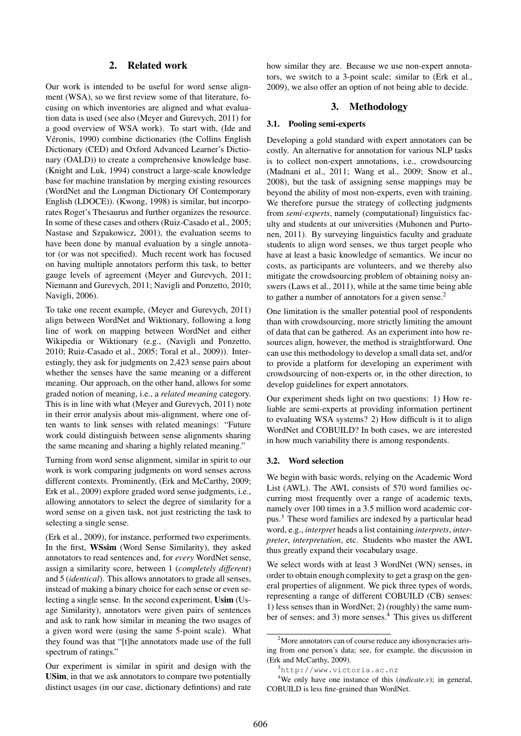# 2. Related work

Our work is intended to be useful for word sense alignment (WSA), so we first review some of that literature, focusing on which inventories are aligned and what evaluation data is used (see also (Meyer and Gurevych, 2011) for a good overview of WSA work). To start with, (Ide and Véronis, 1990) combine dictionaries (the Collins English Dictionary (CED) and Oxford Advanced Learner's Dictionary (OALD)) to create a comprehensive knowledge base. (Knight and Luk, 1994) construct a large-scale knowledge base for machine translation by merging existing resources (WordNet and the Longman Dictionary Of Contemporary English (LDOCE)). (Kwong, 1998) is similar, but incorporates Roget's Thesaurus and further organizes the resource. In some of these cases and others (Ruiz-Casado et al., 2005; Nastase and Szpakowicz, 2001), the evaluation seems to have been done by manual evaluation by a single annotator (or was not specified). Much recent work has focused on having multiple annotators perform this task, to better gauge levels of agreement (Meyer and Gurevych, 2011; Niemann and Gurevych, 2011; Navigli and Ponzetto, 2010; Navigli, 2006).

To take one recent example, (Meyer and Gurevych, 2011) align between WordNet and Wiktionary, following a long line of work on mapping between WordNet and either Wikipedia or Wiktionary (e.g., (Navigli and Ponzetto, 2010; Ruiz-Casado et al., 2005; Toral et al., 2009)). Interestingly, they ask for judgments on 2,423 sense pairs about whether the senses have the same meaning or a different meaning. Our approach, on the other hand, allows for some graded notion of meaning, i.e., a *related meaning* category. This is in line with what (Meyer and Gurevych, 2011) note in their error analysis about mis-alignment, where one often wants to link senses with related meanings: "Future work could distinguish between sense alignments sharing the same meaning and sharing a highly related meaning."

Turning from word sense alignment, similar in spirit to our work is work comparing judgments on word senses across different contexts. Prominently, (Erk and McCarthy, 2009; Erk et al., 2009) explore graded word sense judgments, i.e., allowing annotators to select the degree of similarity for a word sense on a given task, not just restricting the task to selecting a single sense.

(Erk et al., 2009), for instance, performed two experiments. In the first, WSsim (Word Sense Similarity), they asked annotators to read sentences and, for *every* WordNet sense, assign a similarity score, between 1 (*completely different*) and 5 (*identical*). This allows annotators to grade all senses, instead of making a binary choice for each sense or even selecting a single sense. In the second experiment, Usim (Usage Similarity), annotators were given pairs of sentences and ask to rank how similar in meaning the two usages of a given word were (using the same 5-point scale). What they found was that "[t]he annotators made use of the full spectrum of ratings."

Our experiment is similar in spirit and design with the USim, in that we ask annotators to compare two potentially distinct usages (in our case, dictionary defintions) and rate how similar they are. Because we use non-expert annotators, we switch to a 3-point scale; similar to (Erk et al., 2009), we also offer an option of not being able to decide.

## 3. Methodology

### 3.1. Pooling semi-experts

Developing a gold standard with expert annotators can be costly. An alternative for annotation for various NLP tasks is to collect non-expert annotations, i.e., crowdsourcing (Madnani et al., 2011; Wang et al., 2009; Snow et al., 2008), but the task of assigning sense mappings may be beyond the ability of most non-experts, even with training. We therefore pursue the strategy of collecting judgments from *semi-experts*, namely (computational) linguistics faculty and students at our universities (Muhonen and Purtonen, 2011). By surveying linguistics faculty and graduate students to align word senses, we thus target people who have at least a basic knowledge of semantics. We incur no costs, as participants are volunteers, and we thereby also mitigate the crowdsourcing problem of obtaining noisy answers (Laws et al., 2011), while at the same time being able to gather a number of annotators for a given sense. $<sup>2</sup>$ </sup>

One limitation is the smaller potential pool of respondents than with crowdsourcing, more strictly limiting the amount of data that can be gathered. As an experiment into how resources align, however, the method is straightforward. One can use this methodology to develop a small data set, and/or to provide a platform for developing an experiment with crowdsourcing of non-experts or, in the other direction, to develop guidelines for expert annotators.

Our experiment sheds light on two questions: 1) How reliable are semi-experts at providing information pertinent to evaluating WSA systems? 2) How difficult is it to align WordNet and COBUILD? In both cases, we are interested in how much variability there is among respondents.

### 3.2. Word selection

We begin with basic words, relying on the Academic Word List (AWL). The AWL consists of 570 word families occurring most frequently over a range of academic texts, namely over 100 times in a 3.5 million word academic corpus.<sup>3</sup> These word families are indexed by a particular head word, e.g., *interpret* heads a list containing *interprets*, *interpreter*, *interpretation*, etc. Students who master the AWL thus greatly expand their vocabulary usage.

We select words with at least 3 WordNet (WN) senses, in order to obtain enough complexity to get a grasp on the general properties of alignment. We pick three types of words, representing a range of different COBUILD (CB) senses: 1) less senses than in WordNet; 2) (roughly) the same number of senses; and 3) more senses.<sup>4</sup> This gives us different

<sup>&</sup>lt;sup>2</sup>More annotators can of course reduce any idiosyncracies arising from one person's data; see, for example, the discussion in (Erk and McCarthy, 2009).

<sup>3</sup>http://www.victoria.ac.nz

<sup>4</sup>We only have one instance of this (*indicate.v*); in general, COBUILD is less fine-grained than WordNet.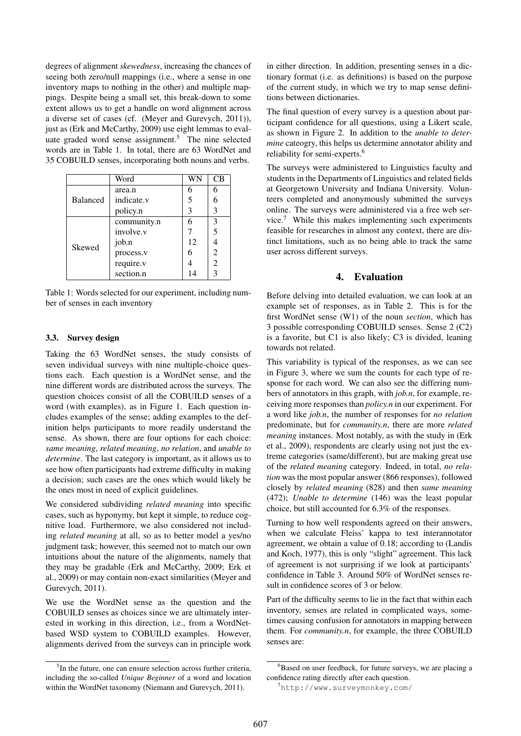degrees of alignment *skewedness*, increasing the chances of seeing both zero/null mappings (i.e., where a sense in one inventory maps to nothing in the other) and multiple mappings. Despite being a small set, this break-down to some extent allows us to get a handle on word alignment across a diverse set of cases (cf. (Meyer and Gurevych, 2011)), just as (Erk and McCarthy, 2009) use eight lemmas to evaluate graded word sense assignment.<sup>5</sup> The nine selected words are in Table 1. In total, there are 63 WordNet and 35 COBUILD senses, incorporating both nouns and verbs.

|                 | Word        |    | СB |
|-----------------|-------------|----|----|
| <b>Balanced</b> | area.n      | 6  | 6  |
|                 | indicate.v  | 5  | 6  |
|                 | policy.n    | 3  | 3  |
| Skewed          | community.n | 6  | 3  |
|                 | involve.y   |    | 5  |
|                 | job.n       | 12 |    |
|                 | process.v   | 6  | 2  |
|                 | require.v   |    | 2  |
|                 | section.n   | 14 | 3  |

Table 1: Words selected for our experiment, including number of senses in each inventory

## 3.3. Survey design

Taking the 63 WordNet senses, the study consists of seven individual surveys with nine multiple-choice questions each. Each question is a WordNet sense, and the nine different words are distributed across the surveys. The question choices consist of all the COBUILD senses of a word (with examples), as in Figure 1. Each question includes examples of the sense; adding examples to the definition helps participants to more readily understand the sense. As shown, there are four options for each choice: *same meaning*, *related meaning*, *no relation*, and *unable to determine*. The last category is important, as it allows us to see how often participants had extreme difficulty in making a decision; such cases are the ones which would likely be the ones most in need of explicit guidelines.

We considered subdividing *related meaning* into specific cases, such as hyponymy, but kept it simple, to reduce cognitive load. Furthermore, we also considered not including *related meaning* at all, so as to better model a yes/no judgment task; however, this seemed not to match our own intuitions about the nature of the alignments, namely that they may be gradable (Erk and McCarthy, 2009; Erk et al., 2009) or may contain non-exact similarities (Meyer and Gurevych, 2011).

We use the WordNet sense as the question and the COBUILD senses as choices since we are ultimately interested in working in this direction, i.e., from a WordNetbased WSD system to COBUILD examples. However, alignments derived from the surveys can in principle work in either direction. In addition, presenting senses in a dictionary format (i.e. as definitions) is based on the purpose of the current study, in which we try to map sense definitions between dictionaries.

The final question of every survey is a question about participant confidence for all questions, using a Likert scale, as shown in Figure 2. In addition to the *unable to determine* cateogry, this helps us determine annotator ability and reliability for semi-experts.<sup>6</sup>

The surveys were administered to Linguistics faculty and students in the Departments of Linguistics and related fields at Georgetown University and Indiana University. Volunteers completed and anonymously submitted the surveys online. The surveys were administered via a free web service.<sup>7</sup> While this makes implementing such experiments feasible for researches in almost any context, there are distinct limitations, such as no being able to track the same user across different surveys.

# 4. Evaluation

Before delving into detailed evaluation, we can look at an example set of responses, as in Table 2. This is for the first WordNet sense (W1) of the noun *section*, which has 3 possible corresponding COBUILD senses. Sense 2 (C2) is a favorite, but C1 is also likely; C3 is divided, leaning towards not related.

This variability is typical of the responses, as we can see in Figure 3, where we sum the counts for each type of response for each word. We can also see the differing numbers of annotators in this graph, with *job.n*, for example, receiving more responses than *policy.n* in our experiment. For a word like *job.n*, the number of responses for *no relation* predominate, but for *community.n*, there are more *related meaning* instances. Most notably, as with the study in (Erk et al., 2009), respondents are clearly using not just the extreme categories (same/different), but are making great use of the *related meaning* category. Indeed, in total, *no relation* was the most popular answer (866 responses), followed closely by *related meaning* (828) and then *same meaning* (472); *Unable to determine* (146) was the least popular choice, but still accounted for 6.3% of the responses.

Turning to how well respondents agreed on their answers, when we calculate Fleiss' kappa to test interannotator agreement, we obtain a value of 0.18; according to (Landis and Koch, 1977), this is only "slight" agreement. This lack of agreement is not surprising if we look at participants' confidence in Table 3. Around 50% of WordNet senses result in confidence scores of 3 or below.

Part of the difficulty seems to lie in the fact that within each inventory, senses are related in complicated ways, sometimes causing confusion for annotators in mapping between them. For *community.n*, for example, the three COBUILD senses are:

<sup>&</sup>lt;sup>5</sup>In the future, one can ensure selection across further criteria, including the so-called *Unique Beginner* of a word and location within the WordNet taxonomy (Niemann and Gurevych, 2011).

 ${}^{6}$ Based on user feedback, for future surveys, we are placing a confidence rating directly after each question.

<sup>7</sup>http://www.surveymonkey.com/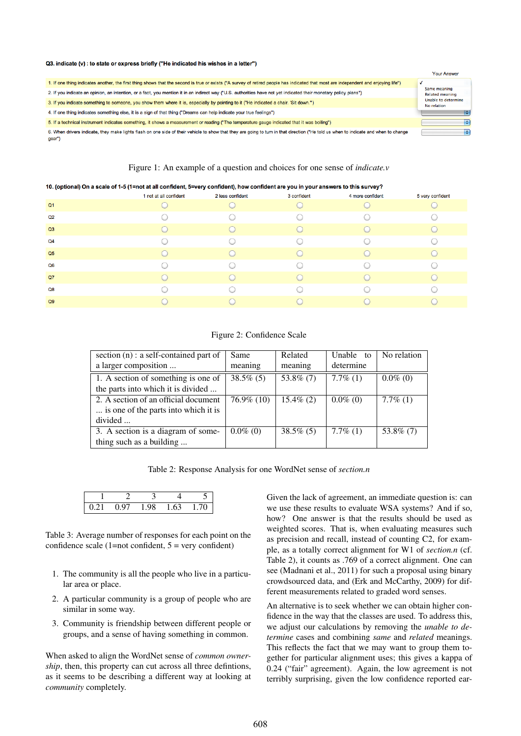#### Q3. indicate (v) : to state or express briefly ("He indicated his wishes in a letter")

|                                                                                                                                                                                                | <b>Your Answer</b>                     |
|------------------------------------------------------------------------------------------------------------------------------------------------------------------------------------------------|----------------------------------------|
| 1. If one thing indicates another, the first thing shows that the second is true or exists ("A survey of retired people has indicated that most are independent and enjoying life")            |                                        |
| 2. If you indicate an opinion, an intention, or a fact, you mention it in an indirect way ("U.S. authorities have not yet indicated their monetary policy plans")                              | Same meaning<br><b>Related meaning</b> |
| 3. If you indicate something to someone, you show them where it is, especially by pointing to it ("He indicated a chair. 'Sit down."")                                                         | Unable to determine<br>No relation     |
| 4. If one thing indicates something else, it is a sign of that thing ("Dreams can help indicate your true feelings")                                                                           |                                        |
| 5. If a technical instrument indicates something, it shows a measurement or reading ("The temperature gauge indicated that it was boiling")                                                    |                                        |
| 6. When drivers indicate, they make lights flash on one side of their vehicle to show that they are going to turn in that direction ("He told us when to indicate and when to change<br>("gear |                                        |

### Figure 1: An example of a question and choices for one sense of *indicate.v*

#### 10. (optional) On a scale of 1-5 (1=not at all confident, 5=very confident), how confident are you in your answers to this survey?

| .<br>$\overline{\phantom{a}}$ | . .                    |                  | . .         | -                |                  |
|-------------------------------|------------------------|------------------|-------------|------------------|------------------|
|                               | 1 not at all confident | 2 less confident | 3 confident | 4 more confident | 5 very confident |
| Q <sub>1</sub>                |                        |                  |             |                  |                  |
| Q2                            |                        |                  |             |                  |                  |
| Q3                            |                        |                  |             |                  |                  |
| Q <sub>4</sub>                |                        |                  |             |                  |                  |
| Q <sub>5</sub>                |                        |                  |             |                  |                  |
| Q6                            |                        |                  |             |                  |                  |
| Q7                            |                        |                  |             |                  |                  |
| Q8                            |                        |                  |             |                  |                  |
| Q9                            |                        |                  |             |                  |                  |
|                               |                        |                  |             |                  |                  |

#### Figure 2: Confidence Scale

| section (n) : a self-contained part of | Same          | Related      | Unable to   | No relation |
|----------------------------------------|---------------|--------------|-------------|-------------|
| a larger composition                   | meaning       | meaning      | determine   |             |
| 1. A section of something is one of    | $38.5\%$ (5)  | 53.8% $(7)$  | $7.7\%$ (1) | $0.0\%$ (0) |
| the parts into which it is divided     |               |              |             |             |
| 2. A section of an official document   | $76.9\%$ (10) | $15.4\%$ (2) | $0.0\%$ (0) | $7.7\%$ (1) |
| is one of the parts into which it is   |               |              |             |             |
| divided                                |               |              |             |             |
| 3. A section is a diagram of some-     | $0.0\%$ (0)   | $38.5\%$ (5) | $7.7\%$ (1) | 53.8\% (7)  |
| thing such as a building               |               |              |             |             |

Table 2: Response Analysis for one WordNet sense of *section.n*

| $(1')$ 1 | 0.97 | $\overline{a}$ |  |
|----------|------|----------------|--|

Table 3: Average number of responses for each point on the confidence scale  $(1=not$  confident,  $5 =$  very confident)

- 1. The community is all the people who live in a particular area or place.
- 2. A particular community is a group of people who are similar in some way.
- 3. Community is friendship between different people or groups, and a sense of having something in common.

When asked to align the WordNet sense of *common ownership*, then, this property can cut across all three defintions, as it seems to be describing a different way at looking at *community* completely.

Given the lack of agreement, an immediate question is: can we use these results to evaluate WSA systems? And if so, how? One answer is that the results should be used as weighted scores. That is, when evaluating measures such as precision and recall, instead of counting C2, for example, as a totally correct alignment for W1 of *section.n* (cf. Table 2), it counts as .769 of a correct alignment. One can see (Madnani et al., 2011) for such a proposal using binary crowdsourced data, and (Erk and McCarthy, 2009) for different measurements related to graded word senses.

An alternative is to seek whether we can obtain higher confidence in the way that the classes are used. To address this, we adjust our calculations by removing the *unable to determine* cases and combining *same* and *related* meanings. This reflects the fact that we may want to group them together for particular alignment uses; this gives a kappa of 0.24 ("fair" agreement). Again, the low agreement is not terribly surprising, given the low confidence reported ear-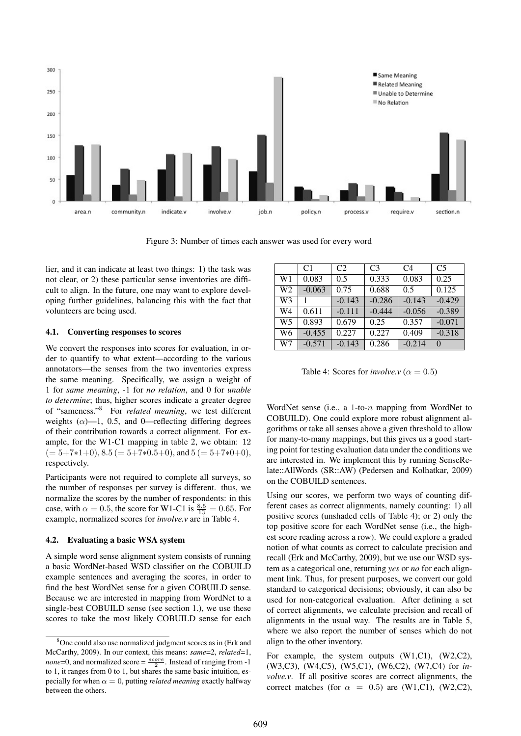

Figure 3: Number of times each answer was used for every word

lier, and it can indicate at least two things: 1) the task was not clear, or 2) these particular sense inventories are difficult to align. In the future, one may want to explore developing further guidelines, balancing this with the fact that volunteers are being used.

### 4.1. Converting responses to scores

We convert the responses into scores for evaluation, in order to quantify to what extent—according to the various annotators—the senses from the two inventories express the same meaning. Specifically, we assign a weight of 1 for *same meaning*, -1 for *no relation*, and 0 for *unable to determine*; thus, higher scores indicate a greater degree of "sameness."<sup>8</sup> For *related meaning*, we test different weights  $(\alpha)$ —1, 0.5, and 0—reflecting differing degrees of their contribution towards a correct alignment. For example, for the W1-C1 mapping in table 2, we obtain: 12  $(= 5+7*1+0), 8.5 (= 5+7*0.5+0),$  and  $5 (= 5+7*0+0),$ respectively.

Participants were not required to complete all surveys, so the number of responses per survey is different. thus, we normalize the scores by the number of respondents: in this case, with  $\alpha = 0.5$ , the score for W1-C1 is  $\frac{8.5}{13} = 0.65$ . For example, normalized scores for *involve.v* are in Table 4.

## 4.2. Evaluating a basic WSA system

A simple word sense alignment system consists of running a basic WordNet-based WSD classifier on the COBUILD example sentences and averaging the scores, in order to find the best WordNet sense for a given COBUILD sense. Because we are interested in mapping from WordNet to a single-best COBUILD sense (see section 1.), we use these scores to take the most likely COBUILD sense for each

|                | C1       | C <sub>2</sub> | C <sub>3</sub> | C <sub>4</sub> | C <sub>5</sub> |
|----------------|----------|----------------|----------------|----------------|----------------|
| W1             | 0.083    | 0.5            | 0.333          | 0.083          | 0.25           |
| W <sub>2</sub> | $-0.063$ | 0.75           | 0.688          | 0.5            | 0.125          |
| W <sub>3</sub> |          | $-0.143$       | $-0.286$       | $-0.143$       | $-0.429$       |
| W4             | 0.611    | $-0.111$       | $-0.444$       | $-0.056$       | $-0.389$       |
| W <sub>5</sub> | 0.893    | 0.679          | 0.25           | 0.357          | $-0.071$       |
| W6             | $-0.455$ | 0.227          | 0.227          | 0.409          | $-0.318$       |
| W7             | $-0.571$ | $-0.143$       | 0.286          | $-0.214$       | $\Omega$       |

Table 4: Scores for *involve.v* ( $\alpha = 0.5$ )

WordNet sense (i.e., a 1-to-n mapping from WordNet to COBUILD). One could explore more robust alignment algorithms or take all senses above a given threshold to allow for many-to-many mappings, but this gives us a good starting point for testing evaluation data under the conditions we are interested in. We implement this by running SenseRelate::AllWords (SR::AW) (Pedersen and Kolhatkar, 2009) on the COBUILD sentences.

Using our scores, we perform two ways of counting different cases as correct alignments, namely counting: 1) all positive scores (unshaded cells of Table 4); or 2) only the top positive score for each WordNet sense (i.e., the highest score reading across a row). We could explore a graded notion of what counts as correct to calculate precision and recall (Erk and McCarthy, 2009), but we use our WSD system as a categorical one, returning *yes* or *no* for each alignment link. Thus, for present purposes, we convert our gold standard to categorical decisions; obviously, it can also be used for non-categorical evaluation. After defining a set of correct alignments, we calculate precision and recall of alignments in the usual way. The results are in Table 5, where we also report the number of senses which do not align to the other inventory.

For example, the system outputs (W1,C1), (W2,C2), (W3,C3), (W4,C5), (W5,C1), (W6,C2), (W7,C4) for *involve.v*. If all positive scores are correct alignments, the correct matches (for  $\alpha = 0.5$ ) are (W1,C1), (W2,C2),

 $8$ One could also use normalized judgment scores as in (Erk and McCarthy, 2009). In our context, this means: *same*=2, *related*=1, *none*=0, and normalized score =  $\frac{score}{2}$ . Instead of ranging from -1 to 1, it ranges from 0 to 1, but shares the same basic intuition, especially for when  $\alpha = 0$ , putting *related meaning* exactly halfway between the others.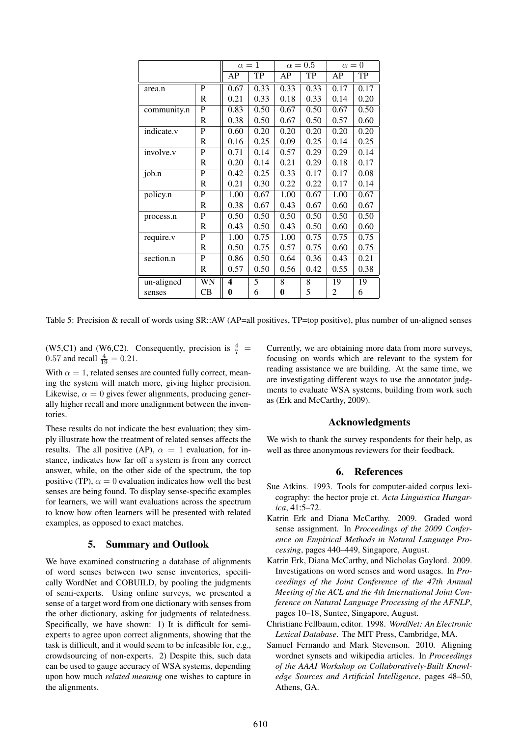|             |    | $\alpha=1$       |      | $\alpha = 0.5$ |      | $\alpha = 0$ |      |
|-------------|----|------------------|------|----------------|------|--------------|------|
|             |    | AP               | TP   | AP             | TP   | AP           | TP   |
| area.n      | P  | 0.67             | 0.33 | 0.33           | 0.33 | 0.17         | 0.17 |
|             | R  | 0.21             | 0.33 | 0.18           | 0.33 | 0.14         | 0.20 |
| community.n | P  | 0.83             | 0.50 | 0.67           | 0.50 | 0.67         | 0.50 |
|             | R  | 0.38             | 0.50 | 0.67           | 0.50 | 0.57         | 0.60 |
| indicate.v  | P  | 0.60             | 0.20 | 0.20           | 0.20 | 0.20         | 0.20 |
|             | R  | 0.16             | 0.25 | 0.09           | 0.25 | 0.14         | 0.25 |
| involve.v   | P  | 0.71             | 0.14 | 0.57           | 0.29 | 0.29         | 0.14 |
|             | R  | 0.20             | 0.14 | 0.21           | 0.29 | 0.18         | 0.17 |
| job.n       | P  | 0.42             | 0.25 | 0.33           | 0.17 | 0.17         | 0.08 |
|             | R  | 0.21             | 0.30 | 0.22           | 0.22 | 0.17         | 0.14 |
| policy.n    | P  | 1.00             | 0.67 | 1.00           | 0.67 | 1.00         | 0.67 |
|             | R  | 0.38             | 0.67 | 0.43           | 0.67 | 0.60         | 0.67 |
| process.n   | P  | 0.50             | 0.50 | 0.50           | 0.50 | 0.50         | 0.50 |
|             | R  | 0.43             | 0.50 | 0.43           | 0.50 | 0.60         | 0.60 |
| require.v   | P  | 1.00             | 0.75 | 1.00           | 0.75 | 0.75         | 0.75 |
|             | R  | 0.50             | 0.75 | 0.57           | 0.75 | 0.60         | 0.75 |
| section.n   | P  | 0.86             | 0.50 | 0.64           | 0.36 | 0.43         | 0.21 |
|             | R  | 0.57             | 0.50 | 0.56           | 0.42 | 0.55         | 0.38 |
| un-aligned  | WN | $\boldsymbol{4}$ | 5    | 8              | 8    | 19           | 19   |
| senses      | CB | 0                | 6    | 0              | 5    | 2            | 6    |

Table 5: Precision & recall of words using  $SR::AW$  (AP=all positives, TP=top positive), plus number of un-aligned senses

(W5,C1) and (W6,C2). Consequently, precision is  $\frac{4}{7}$  = 0.57 and recall  $\frac{4}{19} = 0.21$ .

With  $\alpha = 1$ , related senses are counted fully correct, meaning the system will match more, giving higher precision. Likewise,  $\alpha = 0$  gives fewer alignments, producing generally higher recall and more unalignment between the inventories.

These results do not indicate the best evaluation; they simply illustrate how the treatment of related senses affects the results. The all positive (AP),  $\alpha = 1$  evaluation, for instance, indicates how far off a system is from any correct answer, while, on the other side of the spectrum, the top positive (TP),  $\alpha = 0$  evaluation indicates how well the best senses are being found. To display sense-specific examples for learners, we will want evaluations across the spectrum to know how often learners will be presented with related examples, as opposed to exact matches.

# 5. Summary and Outlook

We have examined constructing a database of alignments of word senses between two sense inventories, specifically WordNet and COBUILD, by pooling the judgments of semi-experts. Using online surveys, we presented a sense of a target word from one dictionary with senses from the other dictionary, asking for judgments of relatedness. Specifically, we have shown: 1) It is difficult for semiexperts to agree upon correct alignments, showing that the task is difficult, and it would seem to be infeasible for, e.g., crowdsourcing of non-experts. 2) Despite this, such data can be used to gauge accuracy of WSA systems, depending upon how much *related meaning* one wishes to capture in the alignments.

Currently, we are obtaining more data from more surveys, focusing on words which are relevant to the system for reading assistance we are building. At the same time, we are investigating different ways to use the annotator judgments to evaluate WSA systems, building from work such as (Erk and McCarthy, 2009).

### Acknowledgments

We wish to thank the survey respondents for their help, as well as three anonymous reviewers for their feedback.

### 6. References

- Sue Atkins. 1993. Tools for computer-aided corpus lexicography: the hector proje ct. *Acta Linguistica Hungarica*, 41:5–72.
- Katrin Erk and Diana McCarthy. 2009. Graded word sense assignment. In *Proceedings of the 2009 Conference on Empirical Methods in Natural Language Processing*, pages 440–449, Singapore, August.
- Katrin Erk, Diana McCarthy, and Nicholas Gaylord. 2009. Investigations on word senses and word usages. In *Proceedings of the Joint Conference of the 47th Annual Meeting of the ACL and the 4th International Joint Conference on Natural Language Processing of the AFNLP*, pages 10–18, Suntec, Singapore, August.
- Christiane Fellbaum, editor. 1998. *WordNet: An Electronic Lexical Database*. The MIT Press, Cambridge, MA.
- Samuel Fernando and Mark Stevenson. 2010. Aligning wordnet synsets and wikipedia articles. In *Proceedings of the AAAI Workshop on Collaboratively-Built Knowledge Sources and Artificial Intelligence*, pages 48–50, Athens, GA.